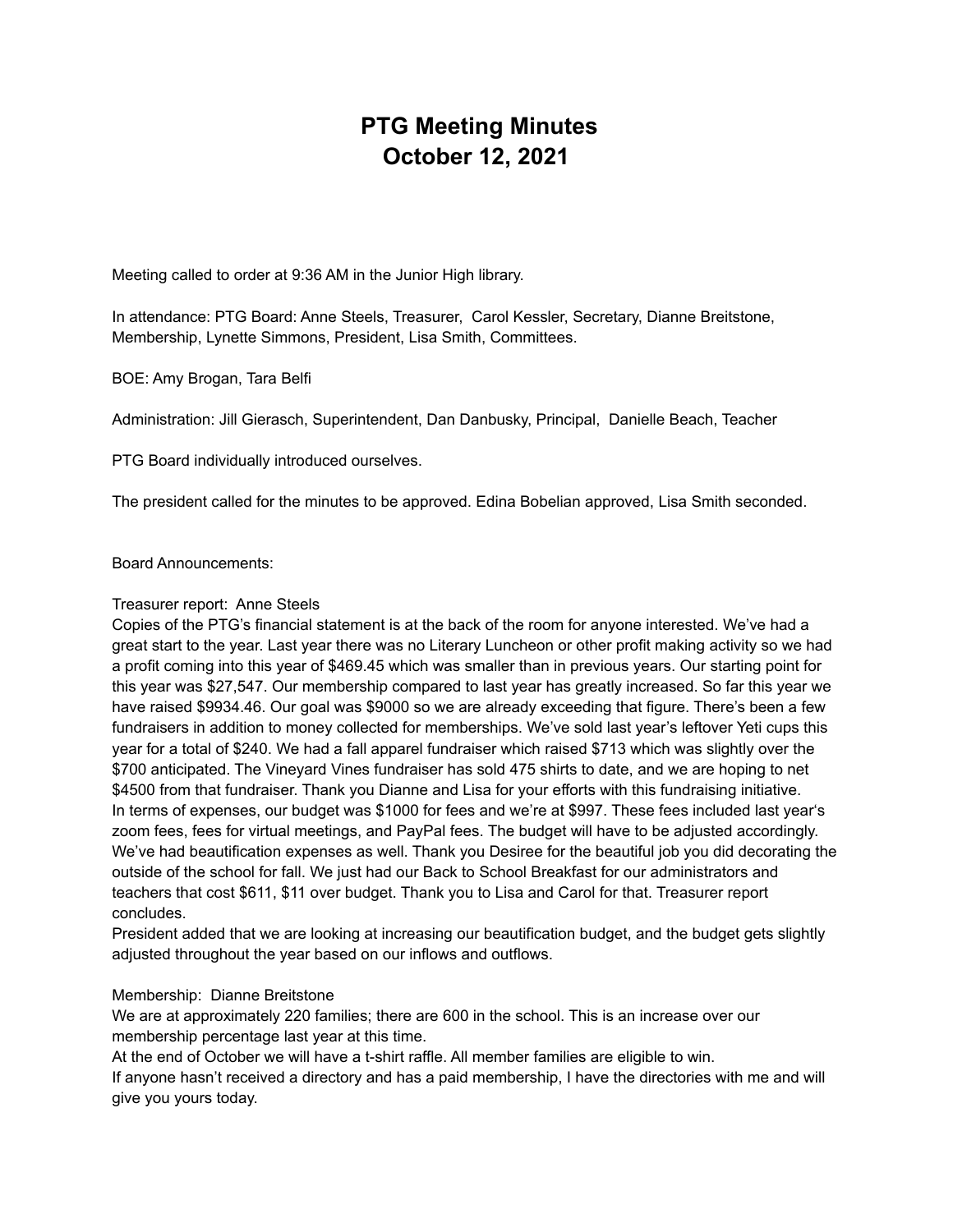# **PTG Meeting Minutes October 12, 2021**

Meeting called to order at 9:36 AM in the Junior High library.

In attendance: PTG Board: Anne Steels, Treasurer, Carol Kessler, Secretary, Dianne Breitstone, Membership, Lynette Simmons, President, Lisa Smith, Committees.

BOE: Amy Brogan, Tara Belfi

Administration: Jill Gierasch, Superintendent, Dan Danbusky, Principal, Danielle Beach, Teacher

PTG Board individually introduced ourselves.

The president called for the minutes to be approved. Edina Bobelian approved, Lisa Smith seconded.

Board Announcements:

#### Treasurer report: Anne Steels

Copies of the PTG's financial statement is at the back of the room for anyone interested. We've had a great start to the year. Last year there was no Literary Luncheon or other profit making activity so we had a profit coming into this year of \$469.45 which was smaller than in previous years. Our starting point for this year was \$27,547. Our membership compared to last year has greatly increased. So far this year we have raised \$9934.46. Our goal was \$9000 so we are already exceeding that figure. There's been a few fundraisers in addition to money collected for memberships. We've sold last year's leftover Yeti cups this year for a total of \$240. We had a fall apparel fundraiser which raised \$713 which was slightly over the \$700 anticipated. The Vineyard Vines fundraiser has sold 475 shirts to date, and we are hoping to net \$4500 from that fundraiser. Thank you Dianne and Lisa for your efforts with this fundraising initiative. In terms of expenses, our budget was \$1000 for fees and we're at \$997. These fees included last year's zoom fees, fees for virtual meetings, and PayPal fees. The budget will have to be adjusted accordingly. We've had beautification expenses as well. Thank you Desiree for the beautiful job you did decorating the outside of the school for fall. We just had our Back to School Breakfast for our administrators and teachers that cost \$611, \$11 over budget. Thank you to Lisa and Carol for that. Treasurer report concludes.

President added that we are looking at increasing our beautification budget, and the budget gets slightly adjusted throughout the year based on our inflows and outflows.

## Membership: Dianne Breitstone

We are at approximately 220 families; there are 600 in the school. This is an increase over our membership percentage last year at this time.

At the end of October we will have a t-shirt raffle. All member families are eligible to win. If anyone hasn't received a directory and has a paid membership, I have the directories with me and will give you yours today.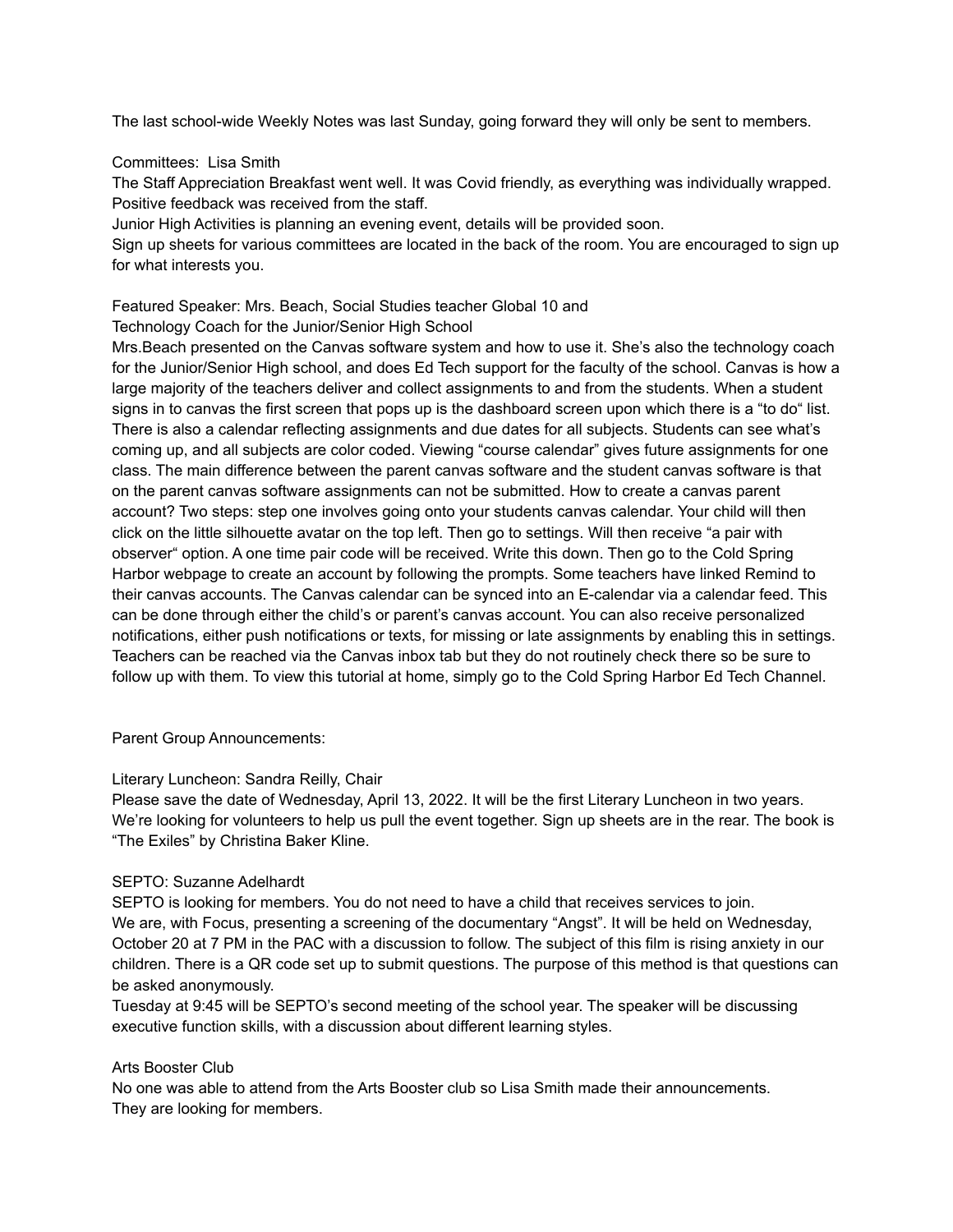The last school-wide Weekly Notes was last Sunday, going forward they will only be sent to members.

#### Committees: Lisa Smith

The Staff Appreciation Breakfast went well. It was Covid friendly, as everything was individually wrapped. Positive feedback was received from the staff.

Junior High Activities is planning an evening event, details will be provided soon.

Sign up sheets for various committees are located in the back of the room. You are encouraged to sign up for what interests you.

## Featured Speaker: Mrs. Beach, Social Studies teacher Global 10 and

Technology Coach for the Junior/Senior High School

Mrs.Beach presented on the Canvas software system and how to use it. She's also the technology coach for the Junior/Senior High school, and does Ed Tech support for the faculty of the school. Canvas is how a large majority of the teachers deliver and collect assignments to and from the students. When a student signs in to canvas the first screen that pops up is the dashboard screen upon which there is a "to do" list. There is also a calendar reflecting assignments and due dates for all subjects. Students can see what's coming up, and all subjects are color coded. Viewing "course calendar" gives future assignments for one class. The main difference between the parent canvas software and the student canvas software is that on the parent canvas software assignments can not be submitted. How to create a canvas parent account? Two steps: step one involves going onto your students canvas calendar. Your child will then click on the little silhouette avatar on the top left. Then go to settings. Will then receive "a pair with observer" option. A one time pair code will be received. Write this down. Then go to the Cold Spring Harbor webpage to create an account by following the prompts. Some teachers have linked Remind to their canvas accounts. The Canvas calendar can be synced into an E-calendar via a calendar feed. This can be done through either the child's or parent's canvas account. You can also receive personalized notifications, either push notifications or texts, for missing or late assignments by enabling this in settings. Teachers can be reached via the Canvas inbox tab but they do not routinely check there so be sure to follow up with them. To view this tutorial at home, simply go to the Cold Spring Harbor Ed Tech Channel.

Parent Group Announcements:

## Literary Luncheon: Sandra Reilly, Chair

Please save the date of Wednesday, April 13, 2022. It will be the first Literary Luncheon in two years. We're looking for volunteers to help us pull the event together. Sign up sheets are in the rear. The book is "The Exiles" by Christina Baker Kline.

## SEPTO: Suzanne Adelhardt

SEPTO is looking for members. You do not need to have a child that receives services to join. We are, with Focus, presenting a screening of the documentary "Angst". It will be held on Wednesday, October 20 at 7 PM in the PAC with a discussion to follow. The subject of this film is rising anxiety in our children. There is a QR code set up to submit questions. The purpose of this method is that questions can be asked anonymously.

Tuesday at 9:45 will be SEPTO's second meeting of the school year. The speaker will be discussing executive function skills, with a discussion about different learning styles.

## Arts Booster Club

No one was able to attend from the Arts Booster club so Lisa Smith made their announcements. They are looking for members.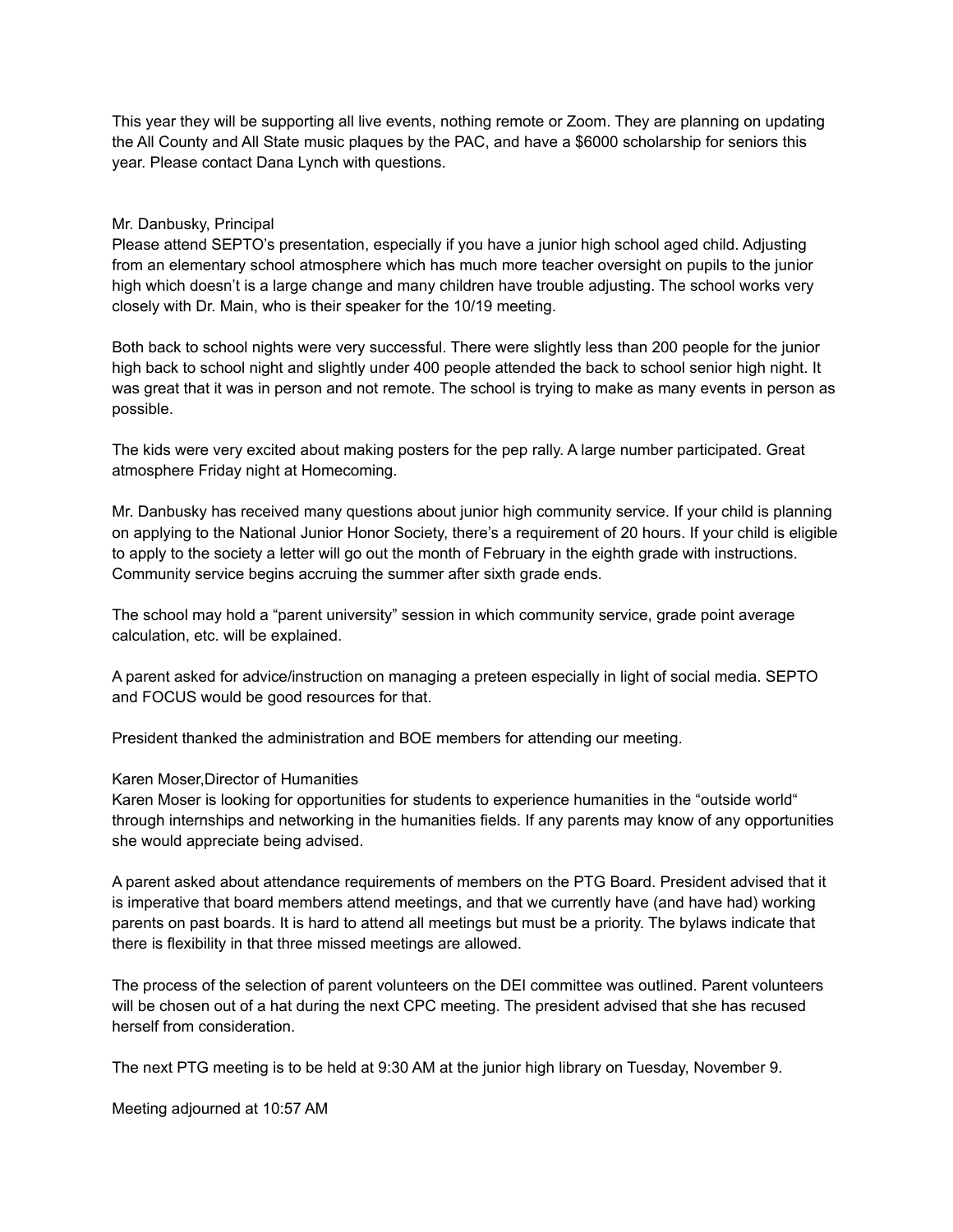This year they will be supporting all live events, nothing remote or Zoom. They are planning on updating the All County and All State music plaques by the PAC, and have a \$6000 scholarship for seniors this year. Please contact Dana Lynch with questions.

#### Mr. Danbusky, Principal

Please attend SEPTO's presentation, especially if you have a junior high school aged child. Adjusting from an elementary school atmosphere which has much more teacher oversight on pupils to the junior high which doesn't is a large change and many children have trouble adjusting. The school works very closely with Dr. Main, who is their speaker for the 10/19 meeting.

Both back to school nights were very successful. There were slightly less than 200 people for the junior high back to school night and slightly under 400 people attended the back to school senior high night. It was great that it was in person and not remote. The school is trying to make as many events in person as possible.

The kids were very excited about making posters for the pep rally. A large number participated. Great atmosphere Friday night at Homecoming.

Mr. Danbusky has received many questions about junior high community service. If your child is planning on applying to the National Junior Honor Society, there's a requirement of 20 hours. If your child is eligible to apply to the society a letter will go out the month of February in the eighth grade with instructions. Community service begins accruing the summer after sixth grade ends.

The school may hold a "parent university" session in which community service, grade point average calculation, etc. will be explained.

A parent asked for advice/instruction on managing a preteen especially in light of social media. SEPTO and FOCUS would be good resources for that.

President thanked the administration and BOE members for attending our meeting.

Karen Moser,Director of Humanities

Karen Moser is looking for opportunities for students to experience humanities in the "outside world" through internships and networking in the humanities fields. If any parents may know of any opportunities she would appreciate being advised.

A parent asked about attendance requirements of members on the PTG Board. President advised that it is imperative that board members attend meetings, and that we currently have (and have had) working parents on past boards. It is hard to attend all meetings but must be a priority. The bylaws indicate that there is flexibility in that three missed meetings are allowed.

The process of the selection of parent volunteers on the DEI committee was outlined. Parent volunteers will be chosen out of a hat during the next CPC meeting. The president advised that she has recused herself from consideration.

The next PTG meeting is to be held at 9:30 AM at the junior high library on Tuesday, November 9.

Meeting adjourned at 10:57 AM